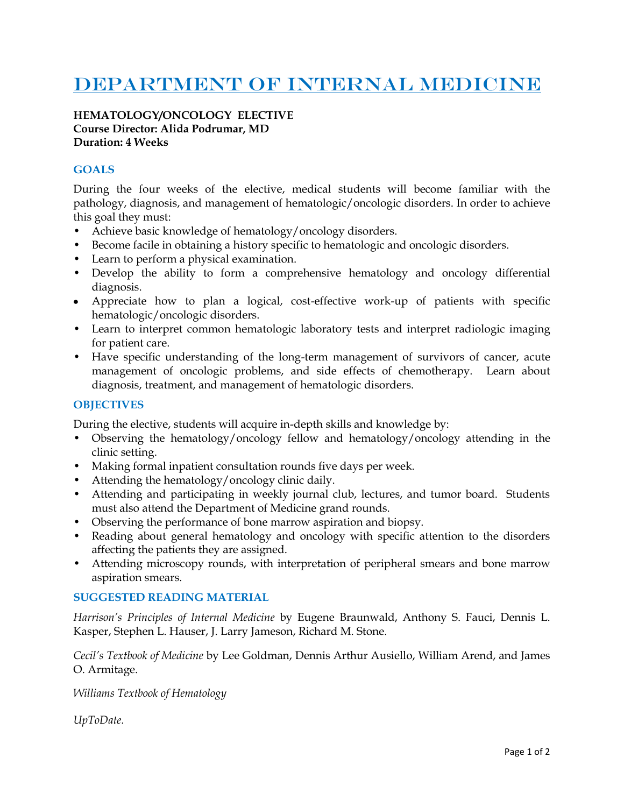# DEPARTMENT OF INTERNAL MEDICINE

### **HEMATOLOGY/ONCOLOGY ELECTIVE Course Director: Alida Podrumar, MD Duration: 4 Weeks**

## **GOALS**

During the four weeks of the elective, medical students will become familiar with the pathology, diagnosis, and management of hematologic/oncologic disorders. In order to achieve this goal they must:

- Achieve basic knowledge of hematology/oncology disorders.
- Become facile in obtaining a history specific to hematologic and oncologic disorders.
- Learn to perform a physical examination.
- Develop the ability to form a comprehensive hematology and oncology differential diagnosis.
- Appreciate how to plan a logical, cost-effective work-up of patients with specific hematologic/oncologic disorders.
- Learn to interpret common hematologic laboratory tests and interpret radiologic imaging for patient care.
- Have specific understanding of the long-term management of survivors of cancer, acute management of oncologic problems, and side effects of chemotherapy. Learn about diagnosis, treatment, and management of hematologic disorders.

### **OBJECTIVES**

During the elective, students will acquire in-depth skills and knowledge by:

- Observing the hematology/oncology fellow and hematology/oncology attending in the clinic setting.
- Making formal inpatient consultation rounds five days per week.
- Attending the hematology/oncology clinic daily.
- Attending and participating in weekly journal club, lectures, and tumor board. Students must also attend the Department of Medicine grand rounds.
- Observing the performance of bone marrow aspiration and biopsy.
- Reading about general hematology and oncology with specific attention to the disorders affecting the patients they are assigned.
- Attending microscopy rounds, with interpretation of peripheral smears and bone marrow aspiration smears.

## **SUGGESTED READING MATERIAL**

*Harrison's Principles of Internal Medicine* by Eugene Braunwald, Anthony S. Fauci, Dennis L. Kasper, Stephen L. Hauser, J. Larry Jameson, Richard M. Stone.

*Cecil's Textbook of Medicine* by Lee Goldman, Dennis Arthur Ausiello, William Arend, and James O. Armitage.

*Williams Textbook of Hematology*

*UpToDate.*